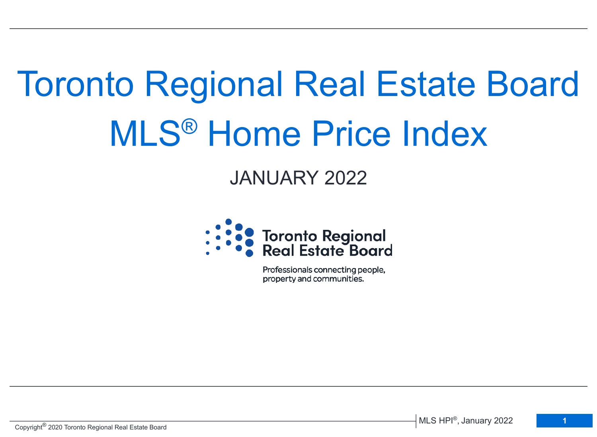# Toronto Regional Real Estate Board MLS® Home Price Index

## JANUARY 2022



Professionals connecting people, property and communities.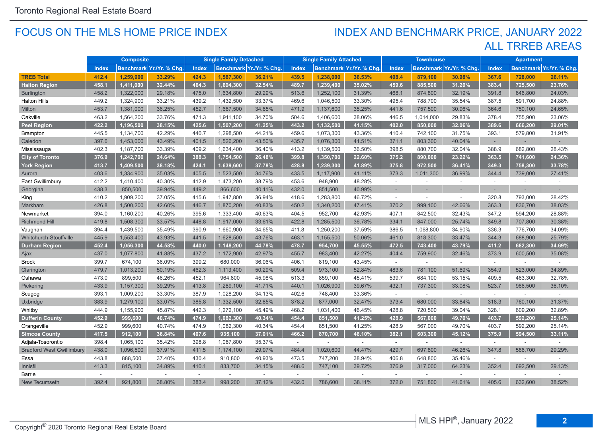#### FOCUS ON THE MLS HOME PRICE INDEX

#### ALL TRREB AREAS INDEX AND BENCHMARK PRICE, JANUARY 2022

|                                  | <b>Composite</b>                            |           |                                  | <b>Single Family Detached</b> |                                   |        | <b>Single Family Attached</b>           |                |        | <b>Townhouse</b>                                  |                          |          | <b>Apartment</b> |         |                          |
|----------------------------------|---------------------------------------------|-----------|----------------------------------|-------------------------------|-----------------------------------|--------|-----------------------------------------|----------------|--------|---------------------------------------------------|--------------------------|----------|------------------|---------|--------------------------|
|                                  | Yr./Yr. % Chg.<br><b>Index</b><br>Benchmark |           | Benchmark Yr./Yr. % Chg<br>Index |                               | Benchmark Yr./Yr. % Chg.<br>Index |        | Benchmark Yr./Yr. % Chg<br><b>Index</b> |                |        | Yr./Yr. % Chg<br><b>Index</b><br><b>Benchmark</b> |                          |          |                  |         |                          |
| <b>TREB Total</b>                | 412.4                                       | 1,259,900 | 33.29%                           | 424.3                         | 1,587,300                         | 36.21% | 439.5                                   | 1,238,000      | 36.53% | 408.4                                             | 879,100                  | 30.98%   | 367.6            | 728,000 | 26.11%                   |
| <b>Halton Region</b>             | 458.1                                       | 1,411,000 | 32.44%                           | 464.3                         | 1,694,300                         | 32.54% | 489.7                                   | 1,239,400      | 35.02% | 459.6                                             | 885,500                  | 31.20%   | 383.4            | 725,500 | 23.76%                   |
| <b>Burlington</b>                | 458.2                                       | 1,322,000 | 29.18%                           | 475.0                         | 1,634,800                         | 29.29% | 513.6                                   | 1,252,100      | 31.39% | 468.1                                             | 874,800                  | 32.19%   | 391.8            | 646,800 | 24.03%                   |
| <b>Halton Hills</b>              | 449.2                                       | 1,324,900 | 33.21%                           | 439.2                         | 1,432,500                         | 33.37% | 469.6                                   | 1,046,500      | 33.30% | 495.4                                             | 788,700                  | 35.54%   | 387.5            | 591,700 | 24.88%                   |
| Milton                           | 453.7                                       | 1,381,000 | 36.25%                           | 452.7                         | 1,667,500                         | 34.65% | 471.9                                   | 1,137,600      | 35.25% | 441.6                                             | 757,500                  | 30.96%   | 364.6            | 750,100 | 24.65%                   |
| Oakville                         | 463.2                                       | 1,564,200 | 33.76%                           | 471.3                         | 1,911,100                         | 34.70% | 504.6                                   | 1,406,600      | 38.06% | 446.5                                             | 1,014,000                | 29.83%   | 378.4            | 755,900 | 23.06%                   |
| <b>Peel Region</b>               | 422.2                                       | 1,196,500 | 38.15%                           | 425.6                         | 1,507,200                         | 41.25% | 443.2                                   | 1,132,500      | 41.15% | 402.0                                             | 850,000                  | 32.06%   | 389.6            | 666,200 | 29.01%                   |
| <b>Brampton</b>                  | 445.5                                       | 1,134,700 | 42.29%                           | 440.7                         | 1,298,500                         | 44.21% | 459.6                                   | 1,073,300      | 43.36% | 410.4                                             | 742,100                  | 31.75%   | 393.1            | 579,800 | 31.91%                   |
| Caledon                          | 397.6                                       | 1,453,000 | 43.49%                           | 401.5                         | 1,526,200                         | 43.50% | 435.7                                   | 1,076,300      | 41.51% | 371.1                                             | 803,300                  | 40.04%   | $\sim$           |         |                          |
| Mississauga                      | 402.3                                       | 1,187,700 | 33.39%                           | 409.2                         | 1,634,400                         | 36.40% | 413.2                                   | 1,139,500      | 36.50% | 398.5                                             | 880,700                  | 32.04%   | 388.9            | 682,800 | 28.43%                   |
| <b>City of Toronto</b>           | 376.9                                       | 1,242,700 | 24.64%                           | 388.3                         | 1,754,500                         | 26.48% | 399.8                                   | 1,350,700      | 22.60% | 375.2                                             | 890,000                  | 23.22%   | 363.5            | 741,600 | 24.36%                   |
| <b>York Region</b>               | 413.7                                       | 1,409,500 | 38.18%                           | 424.1                         | 1,639,600                         | 37.78% | 428.8                                   | 1.239.300      | 41.89% | 375.8                                             | 972.500                  | 36.41%   | 349.3            | 758,300 | 33.78%                   |
| Aurora                           | 403.6                                       | 1,334,900 | 35.03%                           | 405.5                         | 1,523,500                         | 34.76% | 433.5                                   | 1,117,900      | 41.11% | 373.3                                             | 1,011,300                | 36.99%   | 344.4            | 739,000 | 27.41%                   |
| East Gwillimbury                 | 412.2                                       | 1,410,400 | 40.30%                           | 412.9                         | 1,473,200                         | 38.79% | 453.6                                   | 948,900        | 48.28% | $\omega$                                          | $\overline{\phantom{a}}$ | ÷        | $\sim$           |         | $\overline{\phantom{a}}$ |
| Georgina                         | 438.3                                       | 850,500   | 39.94%                           | 449.2                         | 866,600                           | 40.11% | 432.0                                   | 851,500        | 40.99% | $\sim$                                            |                          |          |                  |         |                          |
| King                             | 410.2                                       | 1,909,200 | 37.05%                           | 415.6                         | 1,947,800                         | 36.94% | 418.6                                   | 1,283,800      | 46.72% | $\sim$                                            | $\sim$                   | $\omega$ | 320.8            | 793,000 | 28.42%                   |
| Markham                          | 426.8                                       | 1,500,200 | 42.60%                           | 446.7                         | 1,870,200                         | 40.83% | 450.2                                   | 1,340,200      | 47.41% | 370.2                                             | 999,100                  | 42.66%   | 363.3            | 836,700 | 38.03%                   |
| Newmarket                        | 394.0                                       | 1,160,200 | 40.26%                           | 395.6                         | 1,333,400                         | 40.63% | 404.5                                   | 952,700        | 42.93% | 407.1                                             | 842,500                  | 32.43%   | 347.2            | 594,200 | 28.88%                   |
| <b>Richmond Hill</b>             | 419.8                                       | 1,508,300 | 33.57%                           | 448.8                         | 1,917,000                         | 33.61% | 422.8                                   | 1,285,500      | 36.78% | 334.1                                             | 847,000                  | 25.74%   | 349.8            | 707,800 | 30.38%                   |
| Vaughan                          | 394.4                                       | 1,439,500 | 35.49%                           | 390.9                         | 1,660,900                         | 34.65% | 411.8                                   | 1,250,200      | 37.59% | 386.5                                             | 1,068,800                | 34.90%   | 336.3            | 776,700 | 34.09%                   |
| Whitchurch-Stouffville           | 445.9                                       | 1,553,400 | 43.93%                           | 441.5                         | 1,628,500                         | 43.76% | 463.1                                   | 1,155,500      | 50.06% | 461.0                                             | 818,300                  | 33.47%   | 344.3            | 688,900 | 25.79%                   |
| <b>Durham Region</b>             | 452.4                                       | 1,056,300 | 44.58%                           | 440.0                         | 1,148,200                         | 44.78% | 478.7                                   | 954,700        | 45.55% | 472.5                                             | 743,400                  | 43.79%   | 411.2            | 682,300 | 34.69%                   |
| Ajax                             | 437.0                                       | 1,077,800 | 41.88%                           | 437.2                         | 1,172,900                         | 42.97% | 455.7                                   | 983,400        | 42.27% | 404.4                                             | 759,900                  | 32.46%   | 373.9            | 600,500 | 35.08%                   |
| <b>Brock</b>                     | 399.7                                       | 674,100   | 36.09%                           | 399.2                         | 680,000                           | 36.06% | 406.1                                   | 819,100        | 43.45% | $\sim$                                            | $\omega$                 | $\sim$   | $\sim$           | $\sim$  | $\sim$                   |
| Clarington                       | 479.7                                       | 1,013,200 | 50.19%                           | 462.3                         | 1,113,400                         | 50.29% | 509.4                                   | 973,100        | 52.84% | 483.6                                             | 781,100                  | 51.69%   | 354.9            | 523,000 | 34.89%                   |
| Oshawa                           | 473.0                                       | 899,500   | 46.26%                           | 452.1                         | 964,800                           | 45.98% | 513.3                                   | 859,100        | 45.41% | 539.7                                             | 684,100                  | 53.15%   | 409.5            | 463,300 | 32.78%                   |
| Pickering                        | 433.9                                       | 1,157,300 | 39.29%                           | 413.8                         | 1,289,100                         | 41.71% | 440.1                                   | 1,026,900      | 39.67% | 432.1                                             | 737,300                  | 33.08%   | 523.7            | 986,500 | 36.10%                   |
| Scugog                           | 393.1                                       | 1,009,200 | 33.30%                           | 387.9                         | 1,028,200                         | 34.13% | 402.6                                   | 748,400        | 33.36% | $\sim$                                            | $\sim$                   | $\sim$   | $\sim$           |         |                          |
| Uxbridge                         | 383.9                                       | 1,279,100 | 33.07%                           | 385.8                         | 1,332,500                         | 32.85% | 378.2                                   | 877,000        | 32.47% | 373.4                                             | 680,000                  | 33.84%   | 318.3            | 760,100 | 31.37%                   |
| Whitby                           | 444.9                                       | 1,155,900 | 45.87%                           | 442.3                         | 1,272,100                         | 45.49% | 468.2                                   | 1,031,400      | 46.45% | 428.8                                             | 720,500                  | 39.04%   | 328.1            | 609,200 | 32.89%                   |
| <b>Dufferin County</b>           | 452.9                                       | 999,600   | 40.74%                           | 474.9                         | 1,082,300                         | 40.34% | 454.4                                   | 851,500        | 41.25% | 428.9                                             | 567,000                  | 49.70%   | 403.7            | 592,200 | 25.14%                   |
| Orangeville                      | 452.9                                       | 999,600   | 40.74%                           | 474.9                         | 1,082,300                         | 40.34% | 454.4                                   | 851,500        | 41.25% | 428.9                                             | 567,000                  | 49.70%   | 403.7            | 592,200 | 25.14%                   |
| <b>Simcoe County</b>             | 417.5                                       | 912,100   | 36.84%                           | 407.6                         | 935,100                           | 37.01% | 466.2                                   | 870,700        | 46.10% | 382.1                                             | 603,300                  | 45.12%   | 375.9            | 594,500 | 33.11%                   |
| Adjala-Tosorontio                | 398.4                                       | 1,065,100 | 35.42%                           | 398.8                         | 1,067,800                         | 35.37% | $\sim$                                  | $\sim$         | $\sim$ | $\sim$                                            | $\sim$                   | $\sim$   | $\sim$           |         |                          |
| <b>Bradford West Gwillimbury</b> | 438.0                                       | 1,096,500 | 37.91%                           | 411.5                         | 1,174,100                         | 29.97% | 484.4                                   | 1,020,600      | 44.47% | 429.7                                             | 697,800                  | 46.26%   | 347.8            | 586,700 | 29.29%                   |
| Essa                             | 443.8                                       | 888,500   | 37.40%                           | 430.4                         | 910,800                           | 40.93% | 473.5                                   | 747,200        | 38.94% | 406.8                                             | 648,800                  | 35.46%   | $\sim$           |         |                          |
| Innisfil                         | 413.3                                       | 815,100   | 34.89%                           | 410.1                         | 833,700                           | 34.15% | 488.6                                   | 747,100        | 39.72% | 376.9                                             | 317,000                  | 64.23%   | 352.4            | 692,500 | 29.13%                   |
| Barrie                           | $\sim$                                      | $\sim$    | $\sim$                           | $\sim$                        | $\sim$                            | $\sim$ | $\sim$                                  | $\overline{a}$ | $\sim$ | $\sim$                                            | $\sim$                   | $\sim$   | $\sim$           |         |                          |
| <b>New Tecumseth</b>             | 392.4                                       | 921,800   | 38.80%                           | 383.4                         | 998,200                           | 37.12% | 432.0                                   | 786,600        | 38.11% | 372.0                                             | 751,800                  | 41.61%   | 405.6            | 632,600 | 38.52%                   |